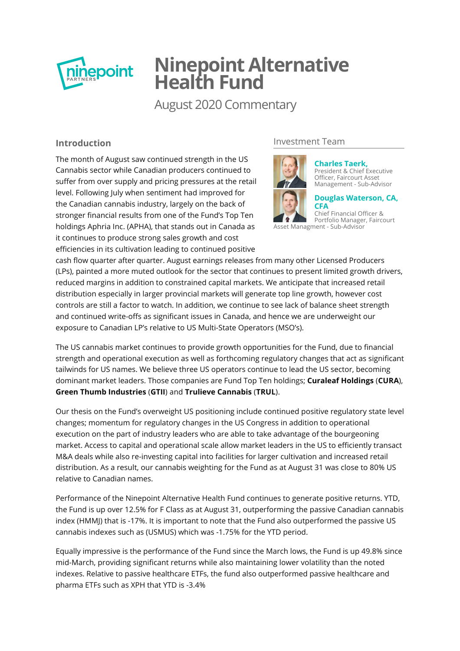

# **Ninepoint Alternative Health Fund**

August 2020 Commentary

# **Introduction**

The month of August saw continued strength in the US Cannabis sector while Canadian producers continued to suffer from over supply and pricing pressures at the retail level. Following July when sentiment had improved for the Canadian cannabis industry, largely on the back of stronger financial results from one of the Fund's Top Ten holdings Aphria Inc. (APHA), that stands out in Canada as it continues to produce strong sales growth and cost efficiencies in its cultivation leading to continued positive

# Investment Team



**Charles Taerk,** [President & Chief Executive](http://cms1.ninepoint.com/about-ninepoint/leadership/investment-team/ninepoint/charles-taerk/) Officer, Faircourt Asset Management - Sub-Advisor

**[Douglas Waterson, CA,](http://cms1.ninepoint.com/about-ninepoint/leadership/investment-team/ninepoint/douglas-waterson/) CFA**

Chief Financial Officer & Portfolio Manager, Faircourt Asset Managment - Sub-Advisor

cash flow quarter after quarter. August earnings releases from many other Licensed Producers (LPs), painted a more muted outlook for the sector that continues to present limited growth drivers, reduced margins in addition to constrained capital markets. We anticipate that increased retail distribution especially in larger provincial markets will generate top line growth, however cost controls are still a factor to watch. In addition, we continue to see lack of balance sheet strength and continued write-offs as significant issues in Canada, and hence we are underweight our exposure to Canadian LP's relative to US Multi-State Operators (MSO's).

The US cannabis market continues to provide growth opportunities for the Fund, due to financial strength and operational execution as well as forthcoming regulatory changes that act as significant tailwinds for US names. We believe three US operators continue to lead the US sector, becoming dominant market leaders. Those companies are Fund Top Ten holdings; **Curaleaf Holdings** (**CURA**), **Green Thumb Industries** (**GTII**) and **Trulieve Cannabis** (**TRUL**).

Our thesis on the Fund's overweight US positioning include continued positive regulatory state level changes; momentum for regulatory changes in the US Congress in addition to operational execution on the part of industry leaders who are able to take advantage of the bourgeoning market. Access to capital and operational scale allow market leaders in the US to efficiently transact M&A deals while also re-investing capital into facilities for larger cultivation and increased retail distribution. As a result, our cannabis weighting for the Fund as at August 31 was close to 80% US relative to Canadian names.

Performance of the Ninepoint Alternative Health Fund continues to generate positive returns. YTD, the Fund is up over 12.5% for F Class as at August 31, outperforming the passive Canadian cannabis index (HMMJ) that is -17%. It is important to note that the Fund also outperformed the passive US cannabis indexes such as (USMUS) which was -1.75% for the YTD period.

Equally impressive is the performance of the Fund since the March lows, the Fund is up 49.8% since mid-March, providing significant returns while also maintaining lower volatility than the noted indexes. Relative to passive healthcare ETFs, the fund also outperformed passive healthcare and pharma ETFs such as XPH that YTD is -3.4%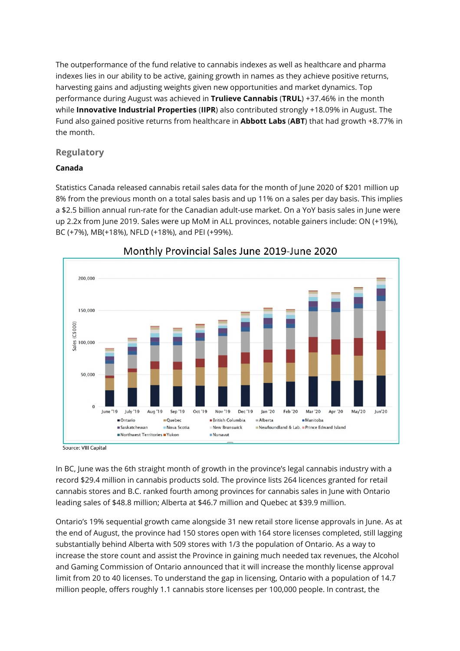The outperformance of the fund relative to cannabis indexes as well as healthcare and pharma indexes lies in our ability to be active, gaining growth in names as they achieve positive returns, harvesting gains and adjusting weights given new opportunities and market dynamics. Top performance during August was achieved in **Trulieve Cannabis** (**TRUL**) +37.46% in the month while **Innovative Industrial Properties** (**IIPR**) also contributed strongly +18.09% in August. The Fund also gained positive returns from healthcare in **Abbott Labs** (**ABT**) that had growth +8.77% in the month.

# **Regulatory**

## **Canada**

Statistics Canada released cannabis retail sales data for the month of June 2020 of \$201 million up 8% from the previous month on a total sales basis and up 11% on a sales per day basis. This implies a \$2.5 billion annual run-rate for the Canadian adult-use market. On a YoY basis sales in June were up 2.2x from June 2019. Sales were up MoM in ALL provinces, notable gainers include: ON (+19%), BC (+7%), MB(+18%), NFLD (+18%), and PEI (+99%).



# Monthly Provincial Sales June 2019-June 2020

Source: VIII Capital

In BC, June was the 6th straight month of growth in the province's legal cannabis industry with a record \$29.4 million in cannabis products sold. The province lists 264 licences granted for retail cannabis stores and B.C. ranked fourth among provinces for cannabis sales in June with Ontario leading sales of \$48.8 million; Alberta at \$46.7 million and Quebec at \$39.9 million.

Ontario's 19% sequential growth came alongside 31 new retail store license approvals in June. As at the end of August, the province had 150 stores open with 164 store licenses completed, still lagging substantially behind Alberta with 509 stores with 1/3 the population of Ontario. As a way to increase the store count and assist the Province in gaining much needed tax revenues, the Alcohol and Gaming Commission of Ontario announced that it will increase the monthly license approval limit from 20 to 40 licenses. To understand the gap in licensing, Ontario with a population of 14.7 million people, offers roughly 1.1 cannabis store licenses per 100,000 people. In contrast, the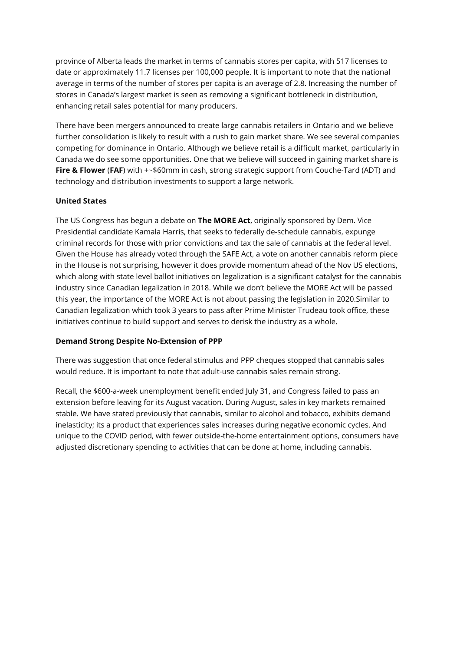province of Alberta leads the market in terms of cannabis stores per capita, with 517 licenses to date or approximately 11.7 licenses per 100,000 people. It is important to note that the national average in terms of the number of stores per capita is an average of 2.8. Increasing the number of stores in Canada's largest market is seen as removing a significant bottleneck in distribution, enhancing retail sales potential for many producers.

There have been mergers announced to create large cannabis retailers in Ontario and we believe further consolidation is likely to result with a rush to gain market share. We see several companies competing for dominance in Ontario. Although we believe retail is a difficult market, particularly in Canada we do see some opportunities. One that we believe will succeed in gaining market share is **Fire & Flower** (**FAF**) with +~\$60mm in cash, strong strategic support from Couche-Tard (ADT) and technology and distribution investments to support a large network.

#### **United States**

The US Congress has begun a debate on **The MORE Act**, originally sponsored by Dem. Vice Presidential candidate Kamala Harris, that seeks to federally de-schedule cannabis, expunge criminal records for those with prior convictions and tax the sale of cannabis at the federal level. Given the House has already voted through the SAFE Act, a vote on another cannabis reform piece in the House is not surprising, however it does provide momentum ahead of the Nov US elections, which along with state level ballot initiatives on legalization is a significant catalyst for the cannabis industry since Canadian legalization in 2018. While we don't believe the MORE Act will be passed this year, the importance of the MORE Act is not about passing the legislation in 2020.Similar to Canadian legalization which took 3 years to pass after Prime Minister Trudeau took office, these initiatives continue to build support and serves to derisk the industry as a whole.

#### **Demand Strong Despite No-Extension of PPP**

There was suggestion that once federal stimulus and PPP cheques stopped that cannabis sales would reduce. It is important to note that adult-use cannabis sales remain strong.

Recall, the \$600-a-week unemployment benefit ended July 31, and Congress failed to pass an extension before leaving for its August vacation. During August, sales in key markets remained stable. We have stated previously that cannabis, similar to alcohol and tobacco, exhibits demand inelasticity; its a product that experiences sales increases during negative economic cycles. And unique to the COVID period, with fewer outside-the-home entertainment options, consumers have adjusted discretionary spending to activities that can be done at home, including cannabis.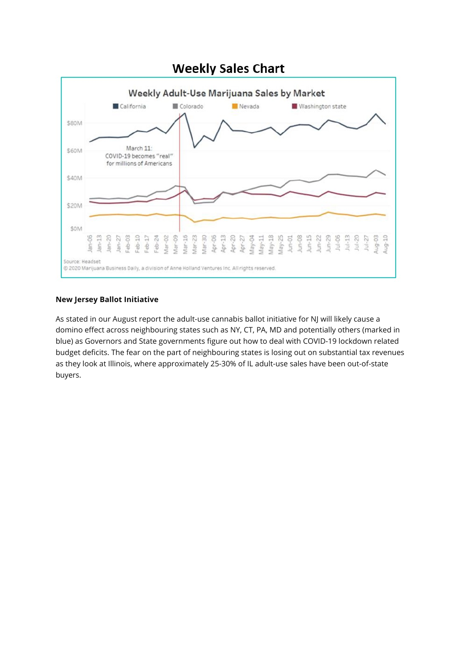

#### **New Jersey Ballot Initiative**

As stated in our August report the adult-use cannabis ballot initiative for NJ will likely cause a domino effect across neighbouring states such as NY, CT, PA, MD and potentially others (marked in blue) as Governors and State governments figure out how to deal with COVID-19 lockdown related budget deficits. The fear on the part of neighbouring states is losing out on substantial tax revenues as they look at Illinois, where approximately 25-30% of IL adult-use sales have been out-of-state buyers.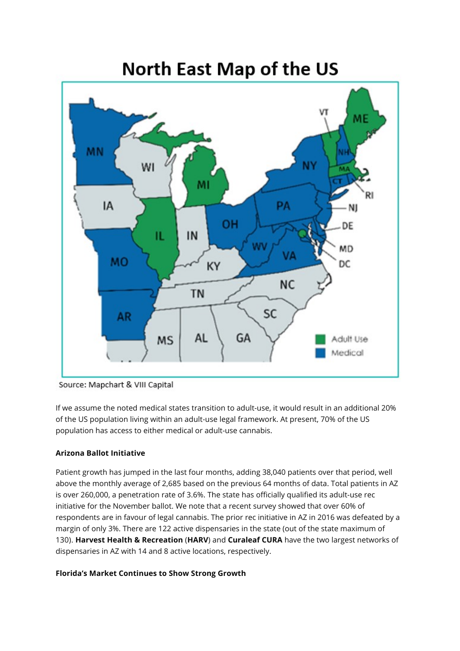

Source: Mapchart & VIII Capital

If we assume the noted medical states transition to adult-use, it would result in an additional 20% of the US population living within an adult-use legal framework. At present, 70% of the US population has access to either medical or adult-use cannabis.

## **Arizona Ballot Initiative**

Patient growth has jumped in the last four months, adding 38,040 patients over that period, well above the monthly average of 2,685 based on the previous 64 months of data. Total patients in AZ is over 260,000, a penetration rate of 3.6%. The state has officially qualified its adult-use rec initiative for the November ballot. We note that a recent survey showed that over 60% of respondents are in favour of legal cannabis. The prior rec initiative in AZ in 2016 was defeated by a margin of only 3%. There are 122 active dispensaries in the state (out of the state maximum of 130). **Harvest Health & Recreation** (**HARV**) and **Curaleaf CURA** have the two largest networks of dispensaries in AZ with 14 and 8 active locations, respectively.

#### **Florida's Market Continues to Show Strong Growth**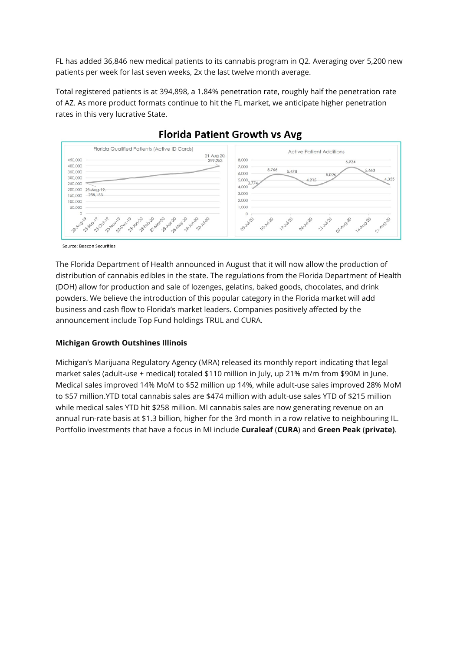FL has added 36,846 new medical patients to its cannabis program in Q2. Averaging over 5,200 new patients per week for last seven weeks, 2x the last twelve month average.

Total registered patients is at 394,898, a 1.84% penetration rate, roughly half the penetration rate of AZ. As more product formats continue to hit the FL market, we anticipate higher penetration rates in this very lucrative State.



# **Florida Patient Growth vs Avg**

Source: Beacon Securities

The Florida Department of Health announced in August that it will now allow the production of distribution of cannabis edibles in the state. The regulations from the Florida Department of Health (DOH) allow for production and sale of lozenges, gelatins, baked goods, chocolates, and drink powders. We believe the introduction of this popular category in the Florida market will add business and cash flow to Florida's market leaders. Companies positively affected by the announcement include Top Fund holdings TRUL and CURA.

#### **Michigan Growth Outshines Illinois**

Michigan's Marijuana Regulatory Agency (MRA) released its monthly report indicating that legal market sales (adult-use + medical) totaled \$110 million in July, up 21% m/m from \$90M in June. Medical sales improved 14% MoM to \$52 million up 14%, while adult-use sales improved 28% MoM to \$57 million.YTD total cannabis sales are \$474 million with adult-use sales YTD of \$215 million while medical sales YTD hit \$258 million. MI cannabis sales are now generating revenue on an annual run-rate basis at \$1.3 billion, higher for the 3rd month in a row relative to neighbouring IL. Portfolio investments that have a focus in MI include **Curaleaf** (**CURA**) and **Green Peak** (**private)**.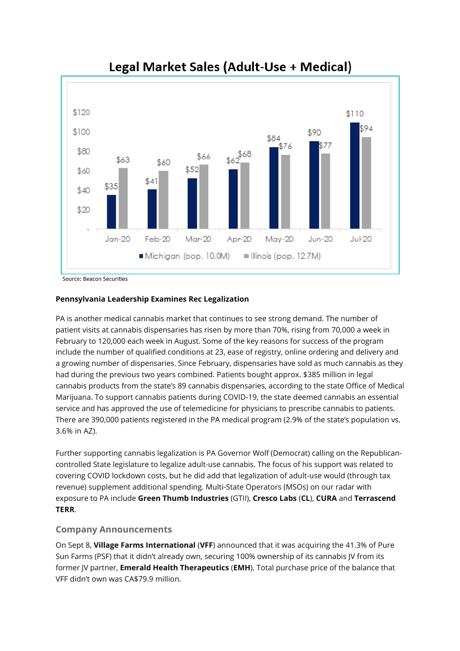

# Legal Market Sales (Adult-Use + Medical)

Source: Beacon Securities

#### **Pennsylvania Leadership Examines Rec Legalization**

PA is another medical cannabis market that continues to see strong demand. The number of patient visits at cannabis dispensaries has risen by more than 70%, rising from 70,000 a week in February to 120,000 each week in August. Some of the key reasons for success of the program include the number of qualified conditions at 23, ease of registry, online ordering and delivery and a growing number of dispensaries. Since February, dispensaries have sold as much cannabis as they had during the previous two years combined. Patients bought approx. \$385 million in legal cannabis products from the state's 89 cannabis dispensaries, according to the state Office of Medical Marijuana. To support cannabis patients during COVID-19, the state deemed cannabis an essential service and has approved the use of telemedicine for physicians to prescribe cannabis to patients. There are 390,000 patients registered in the PA medical program (2.9% of the state's population vs. 3.6% in AZ).

Further supporting cannabis legalization is PA Governor Wolf (Democrat) calling on the Republicancontrolled State legislature to legalize adult-use cannabis. The focus of his support was related to covering COVID lockdown costs, but he did add that legalization of adult-use would (through tax revenue) supplement additional spending. Multi-State Operators (MSOs) on our radar with exposure to PA include **Green Thumb Industries** (GTII), **Cresco Labs** (**CL**), **CURA** and **Terrascend TERR**.

## **Company Announcements**

On Sept 8, **Village Farms International** (**VFF**) announced that it was acquiring the 41.3% of Pure Sun Farms (PSF) that it didn't already own, securing 100% ownership of its cannabis JV from its former JV partner, **Emerald Health Therapeutics** (**EMH**). Total purchase price of the balance that VFF didn't own was CA\$79.9 million.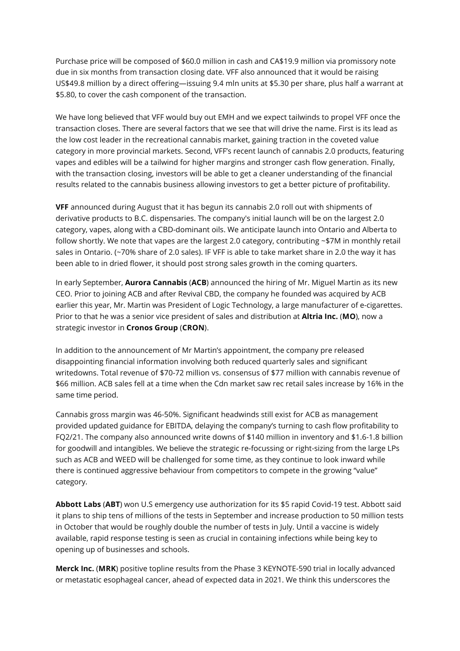Purchase price will be composed of \$60.0 million in cash and CA\$19.9 million via promissory note due in six months from transaction closing date. VFF also announced that it would be raising US\$49.8 million by a direct offering—issuing 9.4 mln units at \$5.30 per share, plus half a warrant at \$5.80, to cover the cash component of the transaction.

We have long believed that VFF would buy out EMH and we expect tailwinds to propel VFF once the transaction closes. There are several factors that we see that will drive the name. First is its lead as the low cost leader in the recreational cannabis market, gaining traction in the coveted value category in more provincial markets. Second, VFF's recent launch of cannabis 2.0 products, featuring vapes and edibles will be a tailwind for higher margins and stronger cash flow generation. Finally, with the transaction closing, investors will be able to get a cleaner understanding of the financial results related to the cannabis business allowing investors to get a better picture of profitability.

**VFF** announced during August that it has begun its cannabis 2.0 roll out with shipments of derivative products to B.C. dispensaries. The company's initial launch will be on the largest 2.0 category, vapes, along with a CBD-dominant oils. We anticipate launch into Ontario and Alberta to follow shortly. We note that vapes are the largest 2.0 category, contributing ~\$7M in monthly retail sales in Ontario. (~70% share of 2.0 sales). IF VFF is able to take market share in 2.0 the way it has been able to in dried flower, it should post strong sales growth in the coming quarters.

In early September, **Aurora Cannabis** (**ACB**) announced the hiring of Mr. Miguel Martin as its new CEO. Prior to joining ACB and after Revival CBD, the company he founded was acquired by ACB earlier this year, Mr. Martin was President of Logic Technology, a large manufacturer of e-cigarettes. Prior to that he was a senior vice president of sales and distribution at **Altria Inc.** (**MO**), now a strategic investor in **Cronos Group** (**CRON**).

In addition to the announcement of Mr Martin's appointment, the company pre released disappointing financial information involving both reduced quarterly sales and significant writedowns. Total revenue of \$70-72 million vs. consensus of \$77 million with cannabis revenue of \$66 million. ACB sales fell at a time when the Cdn market saw rec retail sales increase by 16% in the same time period.

Cannabis gross margin was 46-50%. Significant headwinds still exist for ACB as management provided updated guidance for EBITDA, delaying the company's turning to cash flow profitability to FQ2/21. The company also announced write downs of \$140 million in inventory and \$1.6-1.8 billion for goodwill and intangibles. We believe the strategic re-focussing or right-sizing from the large LPs such as ACB and WEED will be challenged for some time, as they continue to look inward while there is continued aggressive behaviour from competitors to compete in the growing "value" category.

**Abbott Labs** (**ABT**) won U.S emergency use authorization for its \$5 rapid Covid-19 test. Abbott said it plans to ship tens of millions of the tests in September and increase production to 50 million tests in October that would be roughly double the number of tests in July. Until a vaccine is widely available, rapid response testing is seen as crucial in containing infections while being key to opening up of businesses and schools.

**Merck Inc.** (**MRK**) positive topline results from the Phase 3 KEYNOTE-590 trial in locally advanced or metastatic esophageal cancer, ahead of expected data in 2021. We think this underscores the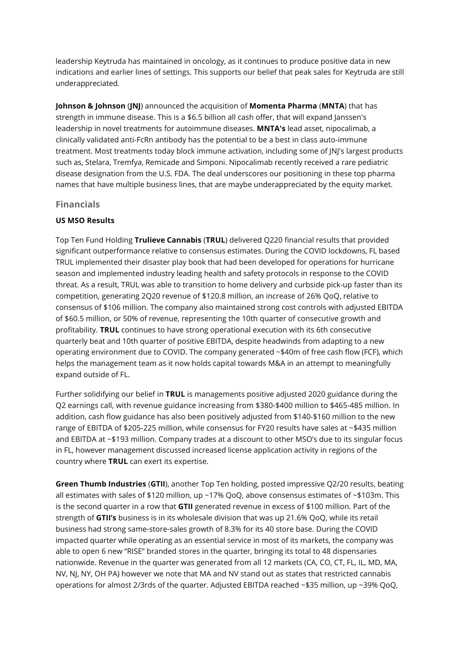leadership Keytruda has maintained in oncology, as it continues to produce positive data in new indications and earlier lines of settings. This supports our belief that peak sales for Keytruda are still underappreciated.

**Johnson & Johnson** (**JNJ**) announced the acquisition of **Momenta Pharma** (**MNTA**) that has strength in immune disease. This is a \$6.5 billion all cash offer, that will expand Janssen's leadership in novel treatments for autoimmune diseases. **MNTA's** lead asset, nipocalimab, a clinically validated anti-FcRn antibody has the potential to be a best in class auto-immune treatment. Most treatments today block immune activation, including some of JNJ's largest products such as, Stelara, Tremfya, Remicade and Simponi. Nipocalimab recently received a rare pediatric disease designation from the U.S. FDA. The deal underscores our positioning in these top pharma names that have multiple business lines, that are maybe underappreciated by the equity market.

## **Financials**

#### **US MSO Results**

Top Ten Fund Holding Trulieve Cannabis (TRUL) delivered Q220 financial results that provided significant outperformance relative to consensus estimates. During the COVID lockdowns, FL based TRUL implemented their disaster play book that had been developed for operations for hurricane season and implemented industry leading health and safety protocols in response to the COVID threat. As a result, TRUL was able to transition to home delivery and curbside pick-up faster than its competition, generating 2Q20 revenue of \$120.8 million, an increase of 26% QoQ, relative to consensus of \$106 million. The company also maintained strong cost controls with adjusted EBITDA of \$60.5 million, or 50% of revenue, representing the 10th quarter of consecutive growth and profitability. **TRUL** continues to have strong operational execution with its 6th consecutive quarterly beat and 10th quarter of positive EBITDA, despite headwinds from adapting to a new operating environment due to COVID. The company generated ~\$40m of free cash flow (FCF), which helps the management team as it now holds capital towards M&A in an attempt to meaningfully expand outside of FL.

Further solidifying our belief in **TRUL** is managements positive adjusted 2020 guidance during the Q2 earnings call, with revenue guidance increasing from \$380-\$400 million to \$465-485 million. In addition, cash flow guidance has also been positively adjusted from \$140-\$160 million to the new range of EBITDA of \$205-225 million, while consensus for FY20 results have sales at ~\$435 million and EBITDA at ~\$193 million. Company trades at a discount to other MSO's due to its singular focus in FL, however management discussed increased license application activity in regions of the country where **TRUL** can exert its expertise.

**Green Thumb Industries** (**GTII**), another Top Ten holding, posted impressive Q2/20 results, beating all estimates with sales of \$120 million, up ~17% QoQ, above consensus estimates of ~\$103m. This is the second quarter in a row that **GTII** generated revenue in excess of \$100 million. Part of the strength of **GTII's** business is in its wholesale division that was up 21.6% QoQ, while its retail business had strong same-store-sales growth of 8.3% for its 40 store base. During the COVID impacted quarter while operating as an essential service in most of its markets, the company was able to open 6 new "RISE" branded stores in the quarter, bringing its total to 48 dispensaries nationwide. Revenue in the quarter was generated from all 12 markets (CA, CO, CT, FL, IL, MD, MA, NV, NJ, NY, OH PA) however we note that MA and NV stand out as states that restricted cannabis operations for almost 2/3rds of the quarter. Adjusted EBITDA reached ~\$35 million, up ~39% QoQ,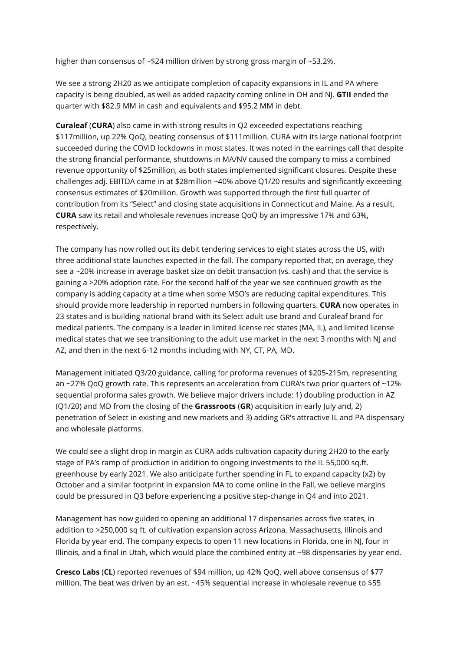higher than consensus of ~\$24 million driven by strong gross margin of ~53.2%.

We see a strong 2H20 as we anticipate completion of capacity expansions in IL and PA where capacity is being doubled, as well as added capacity coming online in OH and NJ. **GTII** ended the quarter with \$82.9 MM in cash and equivalents and \$95.2 MM in debt.

**Curaleaf** (**CURA**) also came in with strong results in Q2 exceeded expectations reaching \$117million, up 22% QoQ, beating consensus of \$111million. CURA with its large national footprint succeeded during the COVID lockdowns in most states. It was noted in the earnings call that despite the strong financial performance, shutdowns in MA/NV caused the company to miss a combined revenue opportunity of \$25million, as both states implemented significant closures. Despite these challenges adj. EBITDA came in at \$28million ~40% above  $Q1/20$  results and significantly exceeding consensus estimates of \$20million. Growth was supported through the first full quarter of contribution from its "Select" and closing state acquisitions in Connecticut and Maine. As a result, **CURA** saw its retail and wholesale revenues increase QoQ by an impressive 17% and 63%, respectively.

The company has now rolled out its debit tendering services to eight states across the US, with three additional state launches expected in the fall. The company reported that, on average, they see a ~20% increase in average basket size on debit transaction (vs. cash) and that the service is gaining a >20% adoption rate. For the second half of the year we see continued growth as the company is adding capacity at a time when some MSO's are reducing capital expenditures. This should provide more leadership in reported numbers in following quarters. **CURA** now operates in 23 states and is building national brand with its Select adult use brand and Curaleaf brand for medical patients. The company is a leader in limited license rec states (MA, IL), and limited license medical states that we see transitioning to the adult use market in the next 3 months with NJ and AZ, and then in the next 6-12 months including with NY, CT, PA, MD.

Management initiated Q3/20 guidance, calling for proforma revenues of \$205-215m, representing an ~27% QoQ growth rate. This represents an acceleration from CURA's two prior quarters of ~12% sequential proforma sales growth. We believe major drivers include: 1) doubling production in AZ (Q1/20) and MD from the closing of the **Grassroots** (**GR**) acquisition in early July and, 2) penetration of Select in existing and new markets and 3) adding GR's attractive IL and PA dispensary and wholesale platforms.

We could see a slight drop in margin as CURA adds cultivation capacity during 2H20 to the early stage of PA's ramp of production in addition to ongoing investments to the IL 55,000 sq.ft. greenhouse by early 2021. We also anticipate further spending in FL to expand capacity (x2) by October and a similar footprint in expansion MA to come online in the Fall, we believe margins could be pressured in Q3 before experiencing a positive step-change in Q4 and into 2021.

Management has now guided to opening an additional 17 dispensaries across five states, in addition to >250,000 sq ft. of cultivation expansion across Arizona, Massachusetts, Illinois and Florida by year end. The company expects to open 11 new locations in Florida, one in NJ, four in Illinois, and a final in Utah, which would place the combined entity at ~98 dispensaries by year end.

**Cresco Labs** (**CL**) reported revenues of \$94 million, up 42% QoQ, well above consensus of \$77 million. The beat was driven by an est. ~45% sequential increase in wholesale revenue to \$55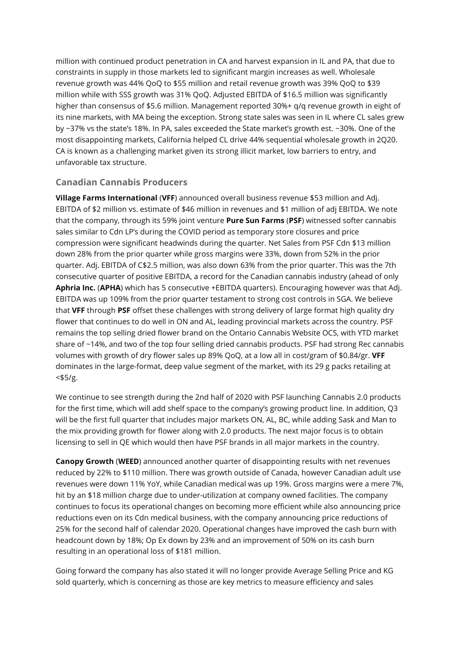million with continued product penetration in CA and harvest expansion in IL and PA, that due to constraints in supply in those markets led to significant margin increases as well. Wholesale revenue growth was 44% QoQ to \$55 million and retail revenue growth was 39% QoQ to \$39 million while with SSS growth was 31% QoQ. Adjusted EBITDA of \$16.5 million was significantly higher than consensus of \$5.6 million. Management reported 30%+ q/q revenue growth in eight of its nine markets, with MA being the exception. Strong state sales was seen in IL where CL sales grew by ~37% vs the state's 18%. In PA, sales exceeded the State market's growth est. ~30%. One of the most disappointing markets, California helped CL drive 44% sequential wholesale growth in 2Q20. CA is known as a challenging market given its strong illicit market, low barriers to entry, and unfavorable tax structure.

# **Canadian Cannabis Producers**

**Village Farms International** (**VFF**) announced overall business revenue \$53 million and Adj. EBITDA of \$2 million vs. estimate of \$46 million in revenues and \$1 million of adj EBITDA. We note that the company, through its 59% joint venture **Pure Sun Farms** (**PSF**) witnessed softer cannabis sales similar to Cdn LP's during the COVID period as temporary store closures and price compression were significant headwinds during the quarter. Net Sales from PSF Cdn \$13 million down 28% from the prior quarter while gross margins were 33%, down from 52% in the prior quarter. Adj. EBITDA of C\$2.5 million, was also down 63% from the prior quarter. This was the 7th consecutive quarter of positive EBITDA, a record for the Canadian cannabis industry (ahead of only **Aphria Inc.** (**APHA**) which has 5 consecutive +EBITDA quarters). Encouraging however was that Adj. EBITDA was up 109% from the prior quarter testament to strong cost controls in SGA. We believe that VFF through PSF offset these challenges with strong delivery of large format high quality dry flower that continues to do well in ON and AL, leading provincial markets across the country. PSF remains the top selling dried flower brand on the Ontario Cannabis Website OCS, with YTD market share of ~14%, and two of the top four selling dried cannabis products. PSF had strong Rec cannabis volumes with growth of dry flower sales up 89% QoQ, at a low all in cost/gram of \$0.84/gr. **VFF** dominates in the large-format, deep value segment of the market, with its 29 g packs retailing at  $<$ \$5/g.

We continue to see strength during the 2nd half of 2020 with PSF launching Cannabis 2.0 products for the first time, which will add shelf space to the company's growing product line. In addition, Q3 will be the first full quarter that includes major markets ON, AL, BC, while adding Sask and Man to the mix providing growth for flower along with 2.0 products. The next major focus is to obtain licensing to sell in QE which would then have PSF brands in all major markets in the country.

**Canopy Growth** (**WEED**) announced another quarter of disappointing results with net revenues reduced by 22% to \$110 million. There was growth outside of Canada, however Canadian adult use revenues were down 11% YoY, while Canadian medical was up 19%. Gross margins were a mere 7%, hit by an \$18 million charge due to under-utilization at company owned facilities. The company continues to focus its operational changes on becoming more efficient while also announcing price reductions even on its Cdn medical business, with the company announcing price reductions of 25% for the second half of calendar 2020. Operational changes have improved the cash burn with headcount down by 18%; Op Ex down by 23% and an improvement of 50% on its cash burn resulting in an operational loss of \$181 million.

Going forward the company has also stated it will no longer provide Average Selling Price and KG sold quarterly, which is concerning as those are key metrics to measure efficiency and sales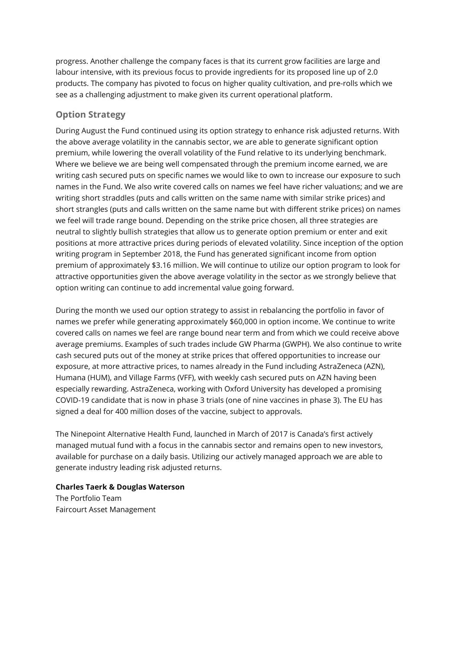progress. Another challenge the company faces is that its current grow facilities are large and labour intensive, with its previous focus to provide ingredients for its proposed line up of 2.0 products. The company has pivoted to focus on higher quality cultivation, and pre-rolls which we see as a challenging adjustment to make given its current operational platform.

## **Option Strategy**

During August the Fund continued using its option strategy to enhance risk adjusted returns. With the above average volatility in the cannabis sector, we are able to generate significant option premium, while lowering the overall volatility of the Fund relative to its underlying benchmark. Where we believe we are being well compensated through the premium income earned, we are writing cash secured puts on specific names we would like to own to increase our exposure to such names in the Fund. We also write covered calls on names we feel have richer valuations; and we are writing short straddles (puts and calls written on the same name with similar strike prices) and short strangles (puts and calls written on the same name but with different strike prices) on names we feel will trade range bound. Depending on the strike price chosen, all three strategies are neutral to slightly bullish strategies that allow us to generate option premium or enter and exit positions at more attractive prices during periods of elevated volatility. Since inception of the option writing program in September 2018, the Fund has generated significant income from option premium of approximately \$3.16 million. We will continue to utilize our option program to look for attractive opportunities given the above average volatility in the sector as we strongly believe that option writing can continue to add incremental value going forward.

During the month we used our option strategy to assist in rebalancing the portfolio in favor of names we prefer while generating approximately \$60,000 in option income. We continue to write covered calls on names we feel are range bound near term and from which we could receive above average premiums. Examples of such trades include GW Pharma (GWPH). We also continue to write cash secured puts out of the money at strike prices that offered opportunities to increase our exposure, at more attractive prices, to names already in the Fund including AstraZeneca (AZN), Humana (HUM), and Village Farms (VFF), with weekly cash secured puts on AZN having been especially rewarding. AstraZeneca, working with Oxford University has developed a promising COVID-19 candidate that is now in phase 3 trials (one of nine vaccines in phase 3). The EU has signed a deal for 400 million doses of the vaccine, subject to approvals.

The Ninepoint Alternative Health Fund, launched in March of 2017 is Canada's first actively managed mutual fund with a focus in the cannabis sector and remains open to new investors, available for purchase on a daily basis. Utilizing our actively managed approach we are able to generate industry leading risk adjusted returns.

#### **Charles Taerk & Douglas Waterson** The Portfolio Team Faircourt Asset Management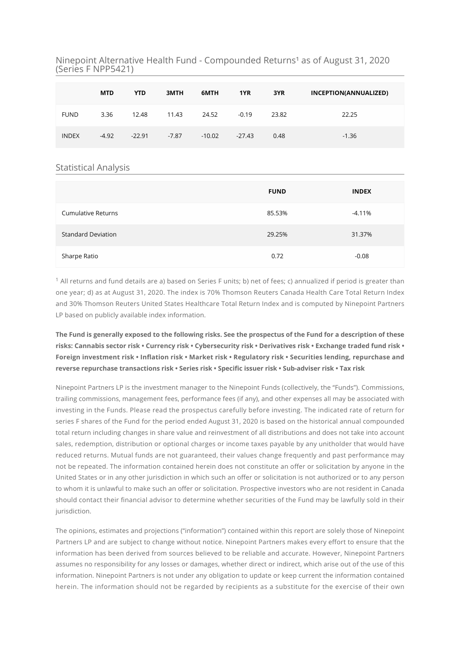Ninepoint Alternative Health Fund - Compounded Returns<sup>1</sup> as of August 31, 2020 (Series F NPP5421)

|              | <b>MTD</b> | <b>YTD</b> | 3MTH    | 6MTH     | 1YR      | 3YR   | INCEPTION(ANNUALIZED) |
|--------------|------------|------------|---------|----------|----------|-------|-----------------------|
| <b>FUND</b>  | 3.36       | 12.48      | 11.43   | 24.52    | $-0.19$  | 23.82 | 22.25                 |
| <b>INDEX</b> | $-4.92$    | $-22.91$   | $-7.87$ | $-10.02$ | $-27.43$ | 0.48  | $-1.36$               |

#### Statistical Analysis

|                           | <b>FUND</b> | <b>INDEX</b> |
|---------------------------|-------------|--------------|
| <b>Cumulative Returns</b> | 85.53%      | -4.11%       |
| <b>Standard Deviation</b> | 29.25%      | 31.37%       |
| Sharpe Ratio              | 0.72        | $-0.08$      |

 $^1$  All returns and fund details are a) based on Series F units; b) net of fees; c) annualized if period is greater than one year; d) as at August 31, 2020. The index is 70% Thomson Reuters Canada Health Care Total Return Index and 30% Thomson Reuters United States Healthcare Total Return Index and is computed by Ninepoint Partners LP based on publicly available index information.

**The Fund is generally exposed to the following risks. See the prospectus of the Fund for a description of these risks: Cannabis sector risk • Currency risk • Cybersecurity risk • Derivatives risk • Exchange traded fund risk •** Foreign investment risk • Inflation risk • Market risk • Regulatory risk • Securities lending, repurchase and reverse repurchase transactions risk • Series risk • Specific issuer risk • Sub-adviser risk • Tax risk

Ninepoint Partners LP is the investment manager to the Ninepoint Funds (collectively, the "Funds"). Commissions, trailing commissions, management fees, performance fees (if any), and other expenses all may be associated with investing in the Funds. Please read the prospectus carefully before investing. The indicated rate of return for series F shares of the Fund for the period ended August 31, 2020 is based on the historical annual compounded total return including changes in share value and reinvestment of all distributions and does not take into account sales, redemption, distribution or optional charges or income taxes payable by any unitholder that would have reduced returns. Mutual funds are not guaranteed, their values change frequently and past performance may not be repeated. The information contained herein does not constitute an offer or solicitation by anyone in the United States or in any other jurisdiction in which such an offer or solicitation is not authorized or to any person to whom it is unlawful to make such an offer or solicitation. Prospective investors who are not resident in Canada should contact their financial advisor to determine whether securities of the Fund may be lawfully sold in their jurisdiction.

The opinions, estimates and projections ("information") contained within this report are solely those of Ninepoint Partners LP and are subject to change without notice. Ninepoint Partners makes every effort to ensure that the information has been derived from sources believed to be reliable and accurate. However, Ninepoint Partners assumes no responsibility for any losses or damages, whether direct or indirect, which arise out of the use of this information. Ninepoint Partners is not under any obligation to update or keep current the information contained herein. The information should not be regarded by recipients as a substitute for the exercise of their own